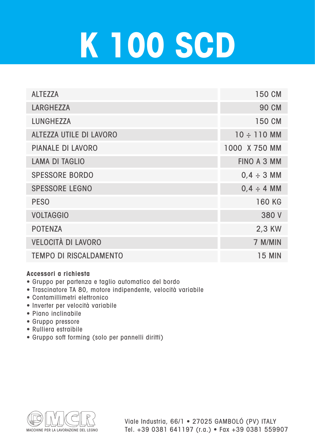## **K 100 SCD**

| <b>ALTEZZA</b>                 | 150 CM             |
|--------------------------------|--------------------|
| <b>LARGHEZZA</b>               | <b>90 CM</b>       |
| <b>LUNGHEZZA</b>               | 150 CM             |
| <b>ALTEZZA UTILE DI LAVORO</b> | $10 \div 110$ MM   |
| <b>PIANALE DI LAVORO</b>       | 1000 X 750 MM      |
| <b>LAMA DI TAGLIO</b>          | <b>FINO A 3 MM</b> |
| <b>SPESSORE BORDO</b>          | $0,4 \div 3$ MM    |
| <b>SPESSORE LEGNO</b>          | $0,4 \div 4$ MM    |
| <b>PESO</b>                    | <b>160 KG</b>      |
| <b>VOLTAGGIO</b>               | 380 V              |
| <b>POTENZA</b>                 | 2,3 KW             |
| <b>VELOCITÀ DI LAVORO</b>      | 7 M/MIN            |
| <b>TEMPO DI RISCALDAMENTO</b>  | 15 MIN             |

## **Accessori a richiesta**

- Gruppo per partenza e taglio automatico del bordo
- Trascinatore TA 80, motore indipendente, velocità variabile
- Contamillimetri elettronico
- Inverter per velocità variabile
- Piano inclinabile
- Gruppo pressore
- Rulliera estraibile
- Gruppo soft forming (solo per pannelli diritti)